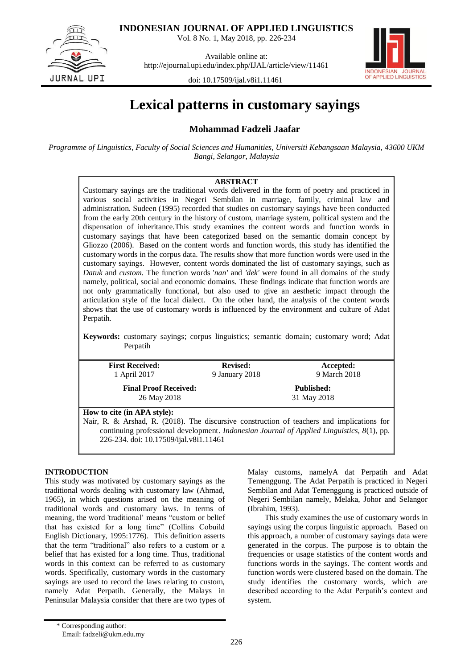

JURNAL UPI

**INDONESIAN JOURNAL OF APPLIED LINGUISTICS**

Vol. 8 No. 1, May 2018, pp. 226-234

Available online at: http://ejournal.upi.edu/index.php/IJAL/article/view/11461



doi: 10.17509/ijal.v8i1.11461

# **Lexical patterns in customary sayings**

## **Mohammad Fadzeli Jaafar**

*Programme of Linguistics, Faculty of Social Sciences and Humanities, Universiti Kebangsaan Malaysia, 43600 UKM Bangi, Selangor, Malaysia*

## **ABSTRACT**

Customary sayings are the traditional words delivered in the form of poetry and practiced in various social activities in Negeri Sembilan in marriage, family, criminal law and administration. Sudeen (1995) recorded that studies on customary sayings have been conducted from the early 20th century in the history of custom, marriage system, political system and the dispensation of inheritance.This study examines the content words and function words in customary sayings that have been categorized based on the semantic domain concept by Gliozzo (2006). Based on the content words and function words, this study has identified the customary words in the corpus data. The results show that more function words were used in the customary sayings. However, content words dominated the list of customary sayings, such as *Datuk* and *custom.* The function words '*nan'* and *'dek'* were found in all domains of the study namely, political, social and economic domains. These findings indicate that function words are not only grammatically functional, but also used to give an aesthetic impact through the articulation style of the local dialect. On the other hand, the analysis of the content words shows that the use of customary words is influenced by the environment and culture of Adat Perpatih.

**Keywords:** customary sayings; corpus linguistics; semantic domain; customary word; Adat Perpatih

| <b>First Received:</b>                                                                     | <b>Revised:</b> | Accepted:                                                                                 |  |
|--------------------------------------------------------------------------------------------|-----------------|-------------------------------------------------------------------------------------------|--|
| 1 April 2017                                                                               | 9 January 2018  | 9 March 2018                                                                              |  |
| <b>Final Proof Received:</b>                                                               |                 | <b>Published:</b>                                                                         |  |
| 26 May 2018                                                                                | 31 May 2018     |                                                                                           |  |
| How to cite (in APA style):                                                                |                 |                                                                                           |  |
| Nair, R. & Arshad, R. (2018). The discursive construction of teachers and implications for |                 |                                                                                           |  |
|                                                                                            |                 | continuing professional development. Indonesian Journal of Applied Linguistics, 8(1), pp. |  |
| 226-234. doi: 10.17509/ijal.v8i1.11461                                                     |                 |                                                                                           |  |

## **INTRODUCTION**

This study was motivated by customary sayings as the traditional words dealing with customary law (Ahmad, 1965), in which questions arised on the meaning of traditional words and customary laws. In terms of meaning, the word 'traditional" means "custom or belief that has existed for a long time" (Collins Cobuild English Dictionary, 1995:1776). This definition asserts that the term "traditional" also refers to a custom or a belief that has existed for a long time. Thus, traditional words in this context can be referred to as customary words. Specifically, customary words in the customary sayings are used to record the laws relating to custom, namely Adat Perpatih. Generally, the Malays in Peninsular Malaysia consider that there are two types of Malay customs, namelyA dat Perpatih and Adat Temenggung. The Adat Perpatih is practiced in Negeri Sembilan and Adat Temenggung is practiced outside of Negeri Sembilan namely, Melaka, Johor and Selangor (Ibrahim, 1993).

This study examines the use of customary words in sayings using the corpus linguistic approach. Based on this approach, a number of customary sayings data were generated in the corpus. The purpose is to obtain the frequencies or usage statistics of the content words and functions words in the sayings. The content words and function words were clustered based on the domain. The study identifies the customary words, which are described according to the Adat Perpatih's context and system.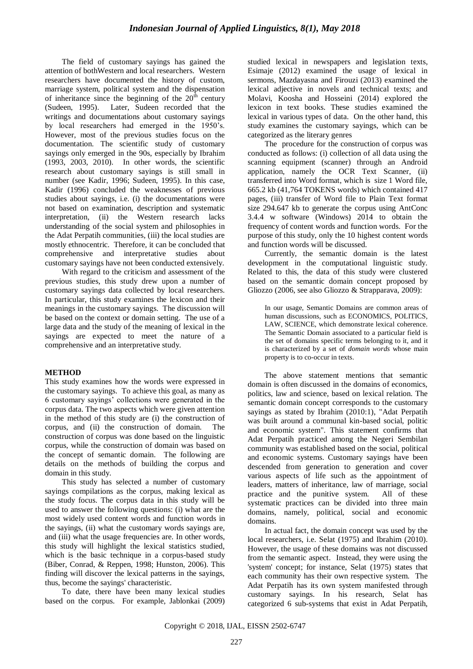The field of customary sayings has gained the attention of bothWestern and local researchers. Western researchers have documented the history of custom, marriage system, political system and the dispensation of inheritance since the beginning of the  $20<sup>th</sup>$  century (Sudeen, 1995). Later, Sudeen recorded that the writings and documentations about customary sayings by local researchers had emerged in the 1950"s. However, most of the previous studies focus on the documentation. The scientific study of customary sayings only emerged in the 90s, especially by Ibrahim (1993, 2003, 2010). In other words, the scientific research about customary sayings is still small in number (see Kadir, 1996; Sudeen, 1995). In this case, Kadir (1996) concluded the weaknesses of previous studies about sayings, i.e. (i) the documentations were not based on examination, description and systematic interpretation, (ii) the Western research lacks understanding of the social system and philosophies in the Adat Perpatih communities, (iii) the local studies are mostly ethnocentric. Therefore, it can be concluded that comprehensive and interpretative studies about customary sayings have not been conducted extensively.

With regard to the criticism and assessment of the previous studies, this study drew upon a number of customary sayings data collected by local researchers. In particular, this study examines the lexicon and their meanings in the customary sayings. The discussion will be based on the context or domain setting. The use of a large data and the study of the meaning of lexical in the sayings are expected to meet the nature of a comprehensive and an interpretative study.

## **METHOD**

This study examines how the words were expressed in the customary sayings. To achieve this goal, as many as 6 customary sayings" collections were generated in the corpus data. The two aspects which were given attention in the method of this study are (i) the construction of corpus, and (ii) the construction of domain. The construction of corpus was done based on the linguistic corpus, while the construction of domain was based on the concept of semantic domain. The following are details on the methods of building the corpus and domain in this study.

This study has selected a number of customary sayings compilations as the corpus, making lexical as the study focus. The corpus data in this study will be used to answer the following questions: (i) what are the most widely used content words and function words in the sayings, (ii) what the customary words sayings are, and (iii) what the usage frequencies are. In other words, this study will highlight the lexical statistics studied, which is the basic technique in a corpus-based study (Biber, Conrad, & Reppen, 1998; Hunston, 2006). This finding will discover the lexical patterns in the sayings, thus, become the sayings' characteristic.

To date, there have been many lexical studies based on the corpus. For example, Jablonkai (2009) studied lexical in newspapers and legislation texts, Esimaje (2012) examined the usage of lexical in sermons, Mazdayasna and Firouzi (2013) examined the lexical adjective in novels and technical texts; and Molavi, Koosha and Hosseini (2014) explored the lexicon in text books. These studies examined the lexical in various types of data. On the other hand, this study examines the customary sayings, which can be categorized as the literary genres

The procedure for the construction of corpus was conducted as follows: (i) collection of all data using the scanning equipment (scanner) through an Android application, namely the OCR Text Scanner, (ii) transferred into Word format, which is size 1 Word file, 665.2 kb (41,764 TOKENS words) which contained 417 pages, (iii) transfer of Word file to Plain Text format size 294.647 kb to generate the corpus using AntConc 3.4.4 w software (Windows) 2014 to obtain the frequency of content words and function words. For the purpose of this study, only the 10 highest content words and function words will be discussed.

Currently, the semantic domain is the latest development in the computational linguistic study. Related to this, the data of this study were clustered based on the semantic domain concept proposed by Gliozzo (2006, see also Gliozzo & Strapparava, 2009):

In our usage, Semantic Domains are common areas of human discussions, such as ECONOMICS, POLITICS, LAW, SCIENCE, which demonstrate lexical coherence. The Semantic Domain associated to a particular field is the set of domains specific terms belonging to it, and it is characterized by a set of *domain words* whose main property is to co-occur in texts.

The above statement mentions that semantic domain is often discussed in the domains of economics, politics, law and science, based on lexical relation. The semantic domain concept corresponds to the customary sayings as stated by Ibrahim (2010:1), "Adat Perpatih was built around a communal kin-based social, politic and economic system". This statement confirms that Adat Perpatih practiced among the Negeri Sembilan community was established based on the social, political and economic systems. Customary sayings have been descended from generation to generation and cover various aspects of life such as the appointment of leaders, matters of inheritance, law of marriage, social practice and the punitive system. All of these systematic practices can be divided into three main domains, namely, political, social and economic domains.

In actual fact, the domain concept was used by the local researchers, i.e. Selat (1975) and Ibrahim (2010). However, the usage of these domains was not discussed from the semantic aspect. Instead, they were using the 'system' concept; for instance, Selat (1975) states that each community has their own respective system. The Adat Perpatih has its own system manifested through customary sayings. In his research, Selat has categorized 6 sub-systems that exist in Adat Perpatih,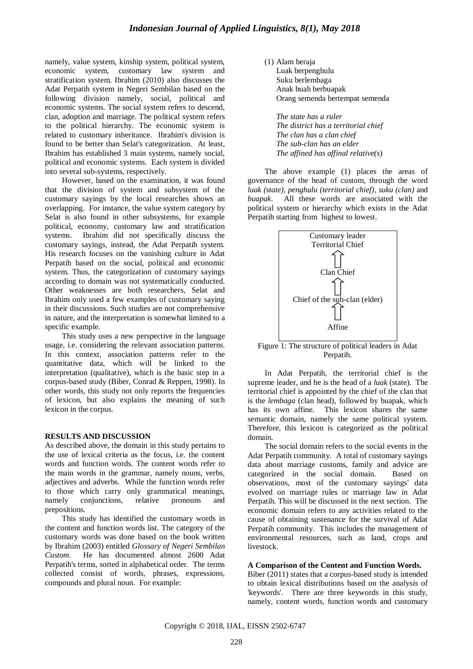namely, value system, kinship system, political system, economic system, customary law system and stratification system. Ibrahim (2010) also discusses the Adat Perpatih system in Negeri Sembilan based on the following division namely, social, political and economic systems. The social system refers to descend, clan, adoption and marriage. The political system refers to the political hierarchy. The economic system is related to customary inheritance. Ibrahim's division is found to be better than Selat's categorization. At least, Ibrahim has established 3 main systems, namely social, political and economic systems. Each system is divided into several sub-systems, respectively.

However, based on the examination, it was found that the division of system and subsystem of the customary sayings by the local researches shows an overlapping. For instance, the value system category by Selat is also found in other subsystems, for example political, economy, customary law and stratification systems. Ibrahim did not specifically discuss the customary sayings, instead, the Adat Perpatih system. His research focuses on the vanishing culture in Adat Perpatih based on the social, political and economic system. Thus, the categorization of customary sayings according to domain was not systematically conducted. Other weaknesses are both researchers, Selat and Ibrahim only used a few examples of customary saying in their discussions. Such studies are not comprehensive in nature, and the interpretation is somewhat limited to a specific example.

This study uses a new perspective in the language usage, i.e. considering the relevant association patterns. In this context, association patterns refer to the quantitative data, which will be linked to the interpretation (qualitative), which is the basic step in a corpus-based study (Biber, Conrad & Reppen, 1998). In other words, this study not only reports the frequencies of lexicon, but also explains the meaning of such lexicon in the corpus.

#### **RESULTS AND DISCUSSION**

As described above, the domain in this study pertains to the use of lexical criteria as the focus, i.e. the content words and function words. The content words refer to the main words in the grammar, namely nouns, verbs, adjectives and adverbs. While the function words refer to those which carry only grammatical meanings, namely conjunctions, relative pronouns and prepositions.

This study has identified the customary words in the content and function words list. The category of the customary words was done based on the book written by Ibrahim (2003) entitled *Glossary of Negeri Sembilan Custom*. He has documented almost 2600 Adat Perpatih's terms, sorted in alphabetical order. The terms collected consist of words, phrases, expressions, compounds and plural noun. For example:

(1) Alam beraja Luak berpenghulu Suku berlembaga Anak buah berbuapak Orang semenda bertempat semenda

*The state has a ruler The district has a territorial chief The clan has a clan chief The sub-clan has an elder The affined has affinal relative(s*)

The above example (1) places the areas of governance of the head of custom, through the word *luak (state), penghulu (territorial chief)*, *suku (clan)* and *buapak*. All these words are associated with the political system or hierarchy which exists in the Adat Perpatih starting from highest to lowest.



Figure 1: The structure of political leaders in Adat Perpatih.

In Adat Perpatih, the territorial chief is the supreme leader, and he is the head of a *luak* (state). The territorial chief is appointed by the chief of the clan that is the *lembaga* (clan head), followed by buapak, which has its own affine. This lexicon shares the same semantic domain, namely the same political system. Therefore, this lexicon is categorized as the political domain.

The social domain refers to the social events in the Adat Perpatih community. A total of customary sayings data about marriage customs, family and advice are categorized in the social domain. Based on observations, most of the customary sayings' data evolved on marriage rules or marriage law in Adat Perpatih. This will be discussed in the next section. The economic domain refers to any activities related to the cause of obtaining sustenance for the survival of Adat Perpatih community. This includes the management of environmental resources, such as land, crops and livestock.

## **A Comparison of the Content and Function Words.**

Biber (2011) states that a corpus-based study is intended to obtain lexical distributions based on the analysis of 'keywords'. There are three keywords in this study, namely, content words, function words and customary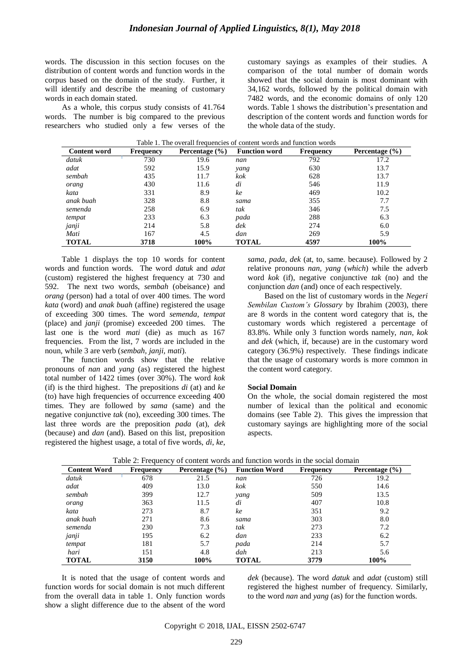words. The discussion in this section focuses on the distribution of content words and function words in the corpus based on the domain of the study. Further, it will identify and describe the meaning of customary words in each domain stated.

As a whole, this corpus study consists of 41.764 words. The number is big compared to the previous researchers who studied only a few verses of the customary sayings as examples of their studies. A comparison of the total number of domain words showed that the social domain is most dominant with 34,162 words, followed by the political domain with 7482 words, and the economic domains of only 120 words. Table 1 shows the distribution"s presentation and description of the content words and function words for the whole data of the study.

| <b>Content word</b> | <b>Frequency</b> | Percentage $(\% )$ | <b>Function word</b> | <b>Frequency</b> | Percentage (%) |
|---------------------|------------------|--------------------|----------------------|------------------|----------------|
| datuk               | 730              | 19.6               | nan                  | 792              | 17.2           |
| adat                | 592              | 15.9               | yang                 | 630              | 13.7           |
| sembah              | 435              | 11.7               | kok                  | 628              | 13.7           |
| orang               | 430              | 11.6               | di                   | 546              | 11.9           |
| kata                | 331              | 8.9                | ke                   | 469              | 10.2           |
| anak buah           | 328              | 8.8                | sama                 | 355              | 7.7            |
| semenda             | 258              | 6.9                | tak                  | 346              | 7.5            |
| tempat              | 233              | 6.3                | pada                 | 288              | 6.3            |
| janji               | 214              | 5.8                | $d$ e $k$            | 274              | 6.0            |
| Mati                | 167              | 4.5                | dan                  | 269              | 5.9            |
| <b>TOTAL</b>        | 3718             | 100%               | TOTAL                | 4597             | 100%           |

| Table 1. The overall frequencies of content words and function words |  |
|----------------------------------------------------------------------|--|
|----------------------------------------------------------------------|--|

Table 1 displays the top 10 words for content words and function words. The word *datuk* and *adat* (custom) registered the highest frequency at 730 and 592. The next two words, *sembah* (obeisance) and *orang* (person) had a total of over 400 times. The word *kata* (word) and *anak buah* (affine) registered the usage of exceeding 300 times. The word *semenda, tempat* (place) and *janji* (promise) exceeded 200 times. The last one is the word *mati* (die) as much as 167 frequencies. From the list, 7 words are included in the noun, while 3 are verb (*sembah, janji, mati*).

The function words show that the relative pronouns of *nan* and *yang* (as) registered the highest total number of 1422 times (over 30%). The word *kok* (if) is the third highest. The prepositions *di* (at) and *ke*  (to) have high frequencies of occurrence exceeding 400 times. They are followed by *sama* (same) and the negative conjunctive *tak* (no), exceeding 300 times. The last three words are the preposition *pada* (at), *dek*  (because) and *dan* (and). Based on this list, preposition registered the highest usage, a total of five words, *di*, *ke*, *sama*, *pada*, *dek* (at, to, same. because). Followed by 2 relative pronouns *nan, yang* (*which*) while the adverb word *kok* (if), negative conjunctive *tak* (no) and the conjunction *dan* (and) once of each respectively.

Based on the list of customary words in the *Negeri Sembilan Custom's Glossary* by Ibrahim (2003), there are 8 words in the content word category that is, the customary words which registered a percentage of 83.8%. While only 3 function words namely, *nan, kok*  and *dek* (which, if, because) are in the customary word category (36.9%) respectively. These findings indicate that the usage of customary words is more common in the content word category.

## **Social Domain**

On the whole, the social domain registered the most number of lexical than the political and economic domains (see Table 2). This gives the impression that customary sayings are highlighting more of the social aspects.

| <b>Content Word</b> | <b>Frequency</b> | Percentage $(\% )$ | <b>Function Word</b> | <b>Frequency</b> | Percentage $(\% )$ |
|---------------------|------------------|--------------------|----------------------|------------------|--------------------|
| datuk               | 678              | 21.5               | nan                  | 726              | 19.2               |
| adat                | 409              | 13.0               | kok                  | 550              | 14.6               |
| sembah              | 399              | 12.7               | yang                 | 509              | 13.5               |
| orang               | 363              | 11.5               | di                   | 407              | 10.8               |
| kata                | 273              | 8.7                | ke                   | 351              | 9.2                |
| anak buah           | 271              | 8.6                | sama                 | 303              | 8.0                |
| semenda             | 230              | 7.3                | tak                  | 273              | 7.2                |
| janji               | 195              | 6.2                | dan                  | 233              | 6.2                |
| tempat              | 181              | 5.7                | pada                 | 214              | 5.7                |
| hari                | 151              | 4.8                | dah                  | 213              | 5.6                |
| TOTAL               | 3150             | 100%               | <b>TOTAL</b>         | 3779             | 100%               |

| Table 2: Frequency of content words and function words in the social domain |  |
|-----------------------------------------------------------------------------|--|
|-----------------------------------------------------------------------------|--|

It is noted that the usage of content words and function words for social domain is not much different from the overall data in table 1. Only function words show a slight difference due to the absent of the word *dek* (because). The word *datuk* and *adat* (custom) still registered the highest number of frequency. Similarly, to the word *nan* and *yang* (as) for the function words.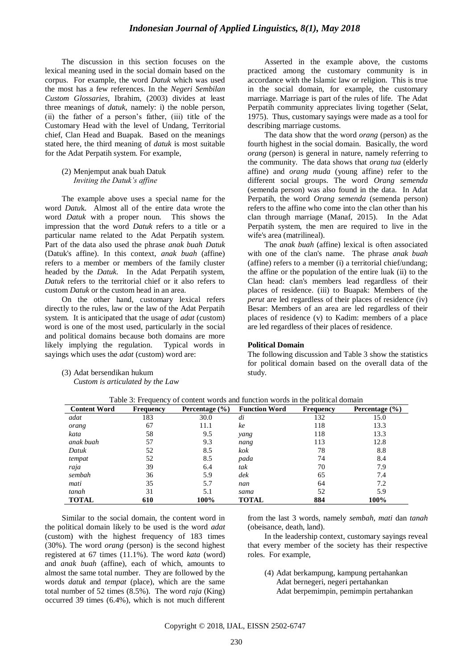The discussion in this section focuses on the lexical meaning used in the social domain based on the corpus. For example, the word *Datuk* which was used the most has a few references. In the *Negeri Sembilan Custom Glossaries,* Ibrahim, (2003) divides at least three meanings of *datuk*, namely: i) the noble person, (ii) the father of a person"s father, (iii) title of the Customary Head with the level of Undang, Territorial chief, Clan Head and Buapak. Based on the meanings stated here, the third meaning of *datuk* is most suitable for the Adat Perpatih system. For example,

#### (2) Menjemput anak buah Datuk *Inviting the Datuk's affine*

The example above uses a special name for the word *Datu*k. Almost all of the entire data wrote the word *Datuk* with a proper noun. This shows the impression that the word *Datuk* refers to a title or a particular name related to the Adat Perpatih system. Part of the data also used the phrase *anak buah Datuk*  (Datuk's affine). In this context, *anak buah* (affine) refers to a member or members of the family cluster headed by the *Datuk.* In the Adat Perpatih system, *Datuk* refers to the territorial chief or it also refers to custom *Datuk* or the custom head in an area.

On the other hand, customary lexical refers directly to the rules, law or the law of the Adat Perpatih system. It is anticipated that the usage of *adat* (custom) word is one of the most used, particularly in the social and political domains because both domains are more likely implying the regulation. Typical words in sayings which uses the *adat* (custom) word are:

## (3) Adat bersendikan hukum *Custom is articulated by the Law*

Asserted in the example above, the customs practiced among the customary community is in accordance with the Islamic law or religion. This is true in the social domain, for example, the customary marriage. Marriage is part of the rules of life. The Adat Perpatih community appreciates living together (Selat, 1975). Thus, customary sayings were made as a tool for describing marriage customs.

The data show that the word *orang* (person) as the fourth highest in the social domain. Basically, the word *orang* (person) is general in nature, namely referring to the community. The data shows that *orang tua* (elderly affine) and *orang muda* (young affine) refer to the different social groups. The word *Orang semenda*  (semenda person) was also found in the data. In Adat Perpatih, the word *Orang semenda* (semenda person) refers to the affine who come into the clan other than his clan through marriage (Manaf, 2015). In the Adat Perpatih system, the men are required to live in the wife's area (matrilineal).

The *anak buah* (affine) lexical is often associated with one of the clan's name. The phrase *anak buah* (affine) refers to a member (i) a territorial chief/undang; the affine or the population of the entire luak (ii) to the Clan head: clan's members lead regardless of their places of residence. (iii) to Buapak: Members of the *perut* are led regardless of their places of residence (iv) Besar: Members of an area are led regardless of their places of residence (v) to Kadim: members of a place are led regardless of their places of residence.

#### **Political Domain**

The following discussion and Table 3 show the statistics for political domain based on the overall data of the study.

| <b>Content Word</b> | <b>Frequency</b> | Percentage $(\% )$ | <b>Function Word</b> | <b>Frequency</b> | Percentage $(\% )$ |
|---------------------|------------------|--------------------|----------------------|------------------|--------------------|
| adat                | 183              | 30.0               | di                   | 132              | 15.0               |
| orang               | 67               | 11.1               | ke                   | 118              | 13.3               |
| kata                | 58               | 9.5                | yang                 | 118              | 13.3               |
| anak buah           | 57               | 9.3                | nang                 | 113              | 12.8               |
| Datuk               | 52               | 8.5                | kok                  | 78               | 8.8                |
| tempat              | 52               | 8.5                | pada                 | 74               | 8.4                |
| raja                | 39               | 6.4                | tak                  | 70               | 7.9                |
| sembah              | 36               | 5.9                | dek                  | 65               | 7.4                |
| mati                | 35               | 5.7                | nan                  | 64               | 7.2                |
| tanah               | 31               | 5.1                | sama                 | 52               | 5.9                |
| <b>TOTAL</b>        | 610              | 100%               | <b>TOTAL</b>         | 884              | 100%               |

Table 3: Frequency of content words and function words in the political domain

Similar to the social domain, the content word in the political domain likely to be used is the word *adat* (custom) with the highest frequency of 183 times (30%). The word *orang* (person) is the second highest registered at 67 times (11.1%). The word *kata* (word) and *anak buah* (affine), each of which, amounts to almost the same total number. They are followed by the words *datuk* and *tempat* (place), which are the same total number of 52 times (8.5%). The word *raja* (King) occurred 39 times (6.4%), which is not much different from the last 3 words, namely *sembah*, *mati* dan *tanah*  (obeisance, death, land).

In the leadership context, customary sayings reveal that every member of the society has their respective roles. For example,

(4) Adat berkampung, kampung pertahankan Adat bernegeri, negeri pertahankan Adat berpemimpin, pemimpin pertahankan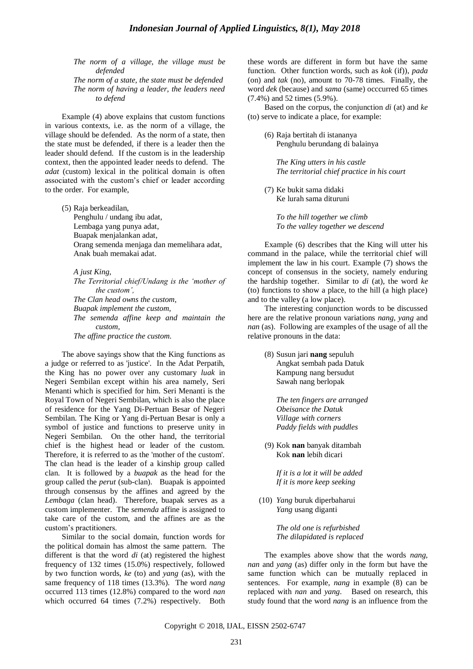*The norm of a village, the village must be defended*

*The norm of a state, the state must be defended The norm of having a leader, the leaders need to defend*

Example (4) above explains that custom functions in various contexts, i.e. as the norm of a village, the village should be defended. As the norm of a state, then the state must be defended, if there is a leader then the leader should defend. If the custom is in the leadership context, then the appointed leader needs to defend. The *adat* (custom) lexical in the political domain is often associated with the custom"s chief or leader according to the order. For example,

(5) Raja berkeadilan, Penghulu / undang ibu adat, Lembaga yang punya adat, Buapak menjalankan adat, Orang semenda menjaga dan memelihara adat, Anak buah memakai adat.

*A just King, The Territorial chief/Undang is the 'mother of the custom', The Clan head owns the custom, Buapak implement the custom, The semenda affine keep and maintain the custom, The affine practice the custom.*

The above sayings show that the King functions as a judge or referred to as 'justice'. In the Adat Perpatih, the King has no power over any customary *luak* in Negeri Sembilan except within his area namely, Seri Menanti which is specified for him. Seri Menanti is the Royal Town of Negeri Sembilan, which is also the place of residence for the Yang Di-Pertuan Besar of Negeri Sembilan. The King or Yang di-Pertuan Besar is only a symbol of justice and functions to preserve unity in Negeri Sembilan. On the other hand, the territorial chief is the highest head or leader of the custom. Therefore, it is referred to as the 'mother of the custom'. The clan head is the leader of a kinship group called clan. It is followed by a *buapak* as the head for the group called the *perut* (sub-clan). Buapak is appointed through consensus by the affines and agreed by the *Lembaga* (clan head). Therefore, buapak serves as a custom implementer. The *semenda* affine is assigned to take care of the custom, and the affines are as the custom"s practitioners.

Similar to the social domain, function words for the political domain has almost the same pattern. The different is that the word *di* (at) registered the highest frequency of 132 times (15.0%) respectively, followed by two function words, *ke* (to) and *yang* (as), with the same frequency of 118 times (13.3%). The word *nang* occurred 113 times (12.8%) compared to the word *nan*  which occurred 64 times (7.2%) respectively. Both these words are different in form but have the same function. Other function words, such as *kok* (if)), *pada* (on) and *tak* (no), amount to 70-78 times. Finally, the word *dek* (because) and *sama* (same) occcurred 65 times (7.4%) and 52 times (5.9%).

Based on the corpus, the conjunction *di* (at) and *ke* (to) serve to indicate a place, for example:

(6) Raja bertitah di istananya Penghulu berundang di balainya

*The King utters in his castle The territorial chief practice in his court*

(7) Ke bukit sama didaki Ke lurah sama dituruni

> *To the hill together we climb To the valley together we descend*

Example (6) describes that the King will utter his command in the palace, while the territorial chief will implement the law in his court. Example (7) shows the concept of consensus in the society, namely enduring the hardship together. Similar to *di* (at)*,* the word *ke* (to) functions to show a place, to the hill (a high place) and to the valley (a low place).

The interesting conjunction words to be discussed here are the relative pronoun variations *nang, yang* and *nan* (as). Following are examples of the usage of all the relative pronouns in the data:

(8) Susun jari **nang** sepuluh Angkat sembah pada Datuk Kampung nang bersudut Sawah nang berlopak

> *The ten fingers are arranged Obeisance the Datuk Village with corners Paddy fields with puddles*

(9) Kok **nan** banyak ditambah Kok **nan** lebih dicari

> *If it is a lot it will be added If it is more keep seeking*

(10) *Yang* buruk diperbaharui *Yang* usang diganti

> *The old one is refurbished The dilapidated is replaced*

The examples above show that the words *nang, nan* and *yang* (as) differ only in the form but have the same function which can be mutually replaced in sentences. For example, *nang* in example (8) can be replaced with *nan* and *yang*. Based on research, this study found that the word *nang* is an influence from the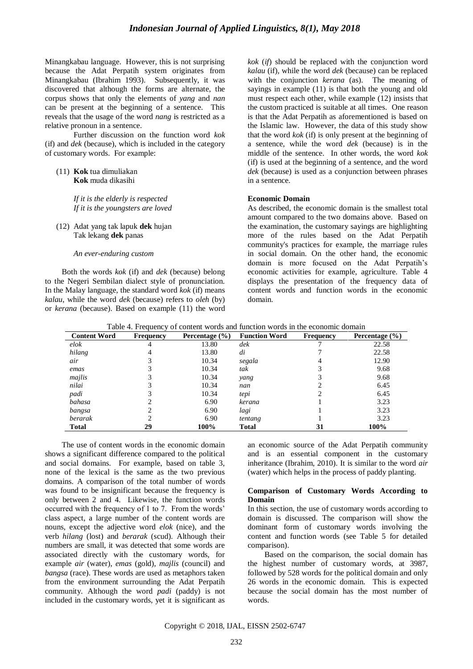Minangkabau language. However, this is not surprising because the Adat Perpatih system originates from Minangkabau (Ibrahim 1993). Subsequently, it was discovered that although the forms are alternate, the corpus shows that only the elements of *yang* and *nan* can be present at the beginning of a sentence. This reveals that the usage of the word *nang* is restricted as a relative pronoun in a sentence.

Further discussion on the function word *kok* (if) and *dek* (because), which is included in the category of customary words. For example:

(11) **Kok** tua dimuliakan **Kok** muda dikasihi

> *If it is the elderly is respected If it is the youngsters are loved*

(12) Adat yang tak lapuk **dek** hujan Tak lekang **dek** panas

*An ever-enduring custom*

Both the words *kok* (if) and *dek* (because) belong to the Negeri Sembilan dialect style of pronunciation. In the Malay language, the standard word *kok* (if) means *kalau*, while the word *dek* (because) refers to *oleh* (by) or *kerana* (because). Based on example (11) the word *kok* (*if*) should be replaced with the conjunction word *kalau* (if)*,* while the word *dek* (because) can be replaced with the conjunction *kerana* (as). The meaning of sayings in example (11) is that both the young and old must respect each other, while example (12) insists that the custom practiced is suitable at all times. One reason is that the Adat Perpatih as aforementioned is based on the Islamic law. However, the data of this study show that the word *kok* (if) is only present at the beginning of a sentence, while the word *dek* (because) is in the middle of the sentence. In other words, the word *kok*  (if) is used at the beginning of a sentence, and the word *dek* (because) is used as a conjunction between phrases in a sentence.

## **Economic Domain**

As described, the economic domain is the smallest total amount compared to the two domains above. Based on the examination, the customary sayings are highlighting more of the rules based on the Adat Perpatih community's practices for example, the marriage rules in social domain. On the other hand, the economic domain is more focused on the Adat Perpatih"s economic activities for example, agriculture. Table 4 displays the presentation of the frequency data of content words and function words in the economic domain.

| <b>Content Word</b> | <b>Frequency</b> | Percentage $(\% )$ | <b>Function Word</b> | <b>Frequency</b> | Percentage $(\% )$ |
|---------------------|------------------|--------------------|----------------------|------------------|--------------------|
| elok                | 4                | 13.80              | dek                  |                  | 22.58              |
| hilang              | 4                | 13.80              | di                   |                  | 22.58              |
| air                 |                  | 10.34              | segala               |                  | 12.90              |
| emas                |                  | 10.34              | tak                  |                  | 9.68               |
| majlis              |                  | 10.34              | yang                 |                  | 9.68               |
| nilai               |                  | 10.34              | nan                  |                  | 6.45               |
| padi                |                  | 10.34              | tepi                 |                  | 6.45               |
| bahasa              |                  | 6.90               | kerana               |                  | 3.23               |
| bangsa              |                  | 6.90               | lagi                 |                  | 3.23               |
| berarak             |                  | 6.90               | tentang              |                  | 3.23               |
| <b>Total</b>        | 29               | 100%               | <b>Total</b>         | 31               | 100%               |

Table 4. Frequency of content words and function words in the economic domain

The use of content words in the economic domain shows a significant difference compared to the political and social domains. For example, based on table 3, none of the lexical is the same as the two previous domains. A comparison of the total number of words was found to be insignificant because the frequency is only between 2 and 4. Likewise, the function words occurred with the frequency of 1 to 7. From the words' class aspect, a large number of the content words are nouns, except the adjective word *elok* (nice), and the verb *hilang* (lost) and *berarak* (scud)*.* Although their numbers are small, it was detected that some words are associated directly with the customary words, for example *air* (water)*, emas* (gold)*, majlis* (council) and *bangsa* (race). These words are used as metaphors taken from the environment surrounding the Adat Perpatih community. Although the word *padi* (paddy) is not included in the customary words, yet it is significant as

an economic source of the Adat Perpatih community and is an essential component in the customary inheritance (Ibrahim, 2010). It is similar to the word *air* (water) which helps in the process of paddy planting.

## **Comparison of Customary Words According to Domain**

In this section, the use of customary words according to domain is discussed. The comparison will show the dominant form of customary words involving the content and function words (see Table 5 for detailed comparison).

Based on the comparison, the social domain has the highest number of customary words, at 3987, followed by 528 words for the political domain and only 26 words in the economic domain. This is expected because the social domain has the most number of words.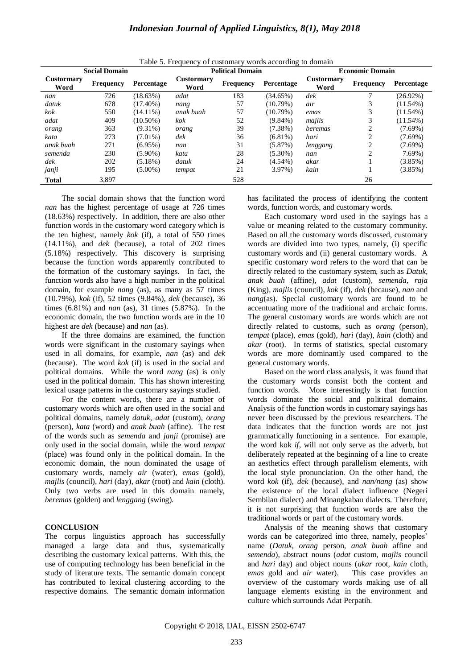| <b>Indonesian Journal of Applied Linguistics, 8(1), May 2018</b> |  |  |  |  |
|------------------------------------------------------------------|--|--|--|--|
|------------------------------------------------------------------|--|--|--|--|

| <b>Social Domain</b>      |                  |             | Twore 5. I requestly of easternal y words according to domain<br><b>Political Domain</b> |                  |            | <b>Economic Domain</b>    |                             |             |
|---------------------------|------------------|-------------|------------------------------------------------------------------------------------------|------------------|------------|---------------------------|-----------------------------|-------------|
| <b>Custormary</b><br>Word | <b>Frequency</b> | Percentage  | <b>Custormary</b><br>Word                                                                | <b>Frequency</b> | Percentage | <b>Custormary</b><br>Word | <b>Frequency</b>            | Percentage  |
| nan                       | 726              | (18.63%)    | adat                                                                                     | 183              | (34.65%)   | $d$ e $k$                 |                             | $(26.92\%)$ |
| datuk                     | 678              | $(17.40\%)$ | nang                                                                                     | 57               | (10.79%)   | air                       |                             | $(11.54\%)$ |
| kok                       | 550              | $(14.11\%)$ | anak buah                                                                                | 57               | (10.79%)   | emas                      |                             | $(11.54\%)$ |
| adat                      | 409              | $(10.50\%)$ | kok                                                                                      | 52               | $(9.84\%)$ | mailis                    | 3                           | $(11.54\%)$ |
| orang                     | 363              | $(9.31\%)$  | orang                                                                                    | 39               | $(7.38\%)$ | beremas                   | ↑                           | $(7.69\%)$  |
| kata                      | 273              | $(7.01\%)$  | dek                                                                                      | 36               | $(6.81\%)$ | hari                      | $\mathcal{D}_{\mathcal{L}}$ | $(7.69\%)$  |
| anak buah                 | 271              | $(6.95\%)$  | nan                                                                                      | 31               | (5.87%)    | lenggang                  | ↑                           | $(7.69\%)$  |
| semenda                   | 230              | $(5.90\%)$  | kata                                                                                     | 28               | $(5.30\%)$ | nan                       | ↑                           | $7.69\%)$   |
| dek                       | 202              | $(5.18\%)$  | datuk                                                                                    | 24               | $(4.54\%)$ | akar                      |                             | $(3.85\%)$  |
| janji                     | 195              | $(5.00\%)$  | tempat                                                                                   | 21               | $3.97\%$   | kain                      |                             | $(3.85\%)$  |
| <b>Total</b>              | 3,897            |             |                                                                                          | 528              |            |                           | 26                          |             |

Table 5. Frequency of customary words according to domain

The social domain shows that the function word *nan* has the highest percentage of usage at 726 times (18.63%) respectively. In addition, there are also other function words in the customary word category which is the ten highest, namely *kok* (if)*,* a total of 550 times (14.11%), and *dek* (because), a total of 202 times (5.18%) respectively. This discovery is surprising because the function words apparently contributed to the formation of the customary sayings. In fact, the function words also have a high number in the political domain, for example *nang* (as), as many as 57 times (10.79%), *kok* (if)*,* 52 times (9.84%), *dek* (because), 36 times (6.81%) and *nan* (as)*,* 31 times (5.87%). In the economic domain, the two function words are in the 10 highest are *dek* (because) and *nan* (as)*.*

If the three domains are examined, the function words were significant in the customary sayings when used in all domains, for example, *nan* (as) and *dek* (because). The word *kok* (if) is used in the social and political domains. While the word *nang* (as) is only used in the political domain. This has shown interesting lexical usage patterns in the customary sayings studied.

For the content words, there are a number of customary words which are often used in the social and political domains, namely *datuk, adat* (custom)*, orang*  (person)*, kata* (word) and *anak buah* (affine). The rest of the words such as *semenda* and *janji* (promise) are only used in the social domain, while the word *tempat* (place) was found only in the political domain. In the economic domain, the noun dominated the usage of customary words, namely *air* (water)*, emas* (gold)*, majlis* (council)*, hari* (day)*, akar* (root) and *kain* (cloth)*.* Only two verbs are used in this domain namely, *beremas* (golden) and *lenggang* (swing)*.*

## **CONCLUSION**

The corpus linguistics approach has successfully managed a large data and thus, systematically describing the customary lexical patterns. With this, the use of computing technology has been beneficial in the study of literature texts. The semantic domain concept has contributed to lexical clustering according to the respective domains. The semantic domain information has facilitated the process of identifying the content words, function words, and customary words.

Each customary word used in the sayings has a value or meaning related to the customary community. Based on all the customary words discussed, customary words are divided into two types, namely, (i) specific customary words and (ii) general customary words. A specific customary word refers to the word that can be directly related to the customary system, such as *Datuk, anak buah* (affine)*, adat* (custom)*, semenda, raja*  (King)*, majlis* (council)*, kok* (if)*, dek* (because)*, nan* and *nang*(as). Special customary words are found to be accentuating more of the traditional and archaic forms. The general customary words are words which are not directly related to customs, such as *orang* (person), *tempat* (place)*, emas* (gold)*, hari* (day)*, kain* (cloth) and *akar* (root). In terms of statistics, special customary words are more dominantly used compared to the general customary words.

Based on the word class analysis, it was found that the customary words consist both the content and function words. More interestingly is that function words dominate the social and political domains. Analysis of the function words in customary sayings has never been discussed by the previous researchers. The data indicates that the function words are not just grammatically functioning in a sentence. For example, the word kok *if*, will not only serve as the adverb, but deliberately repeated at the beginning of a line to create an aesthetics effect through parallelism elements, with the local style pronunciation. On the other hand, the word *kok* (if)*, dek* (because)*,* and *nan/nang* (as) show the existence of the local dialect influence (Negeri Sembilan dialect) and Minangkabau dialects. Therefore, it is not surprising that function words are also the traditional words or part of the customary words.

Analysis of the meaning shows that customary words can be categorized into three, namely, peoples' name (*Datuk, orang* person*, anak buah* affine and *semenda*), abstract nouns (*adat* custom*, majlis* council and *hari* day) and object nouns (*akar* root*, kain* cloth*, emas* gold and *air* water). This case provides an overview of the customary words making use of all language elements existing in the environment and culture which surrounds Adat Perpatih.